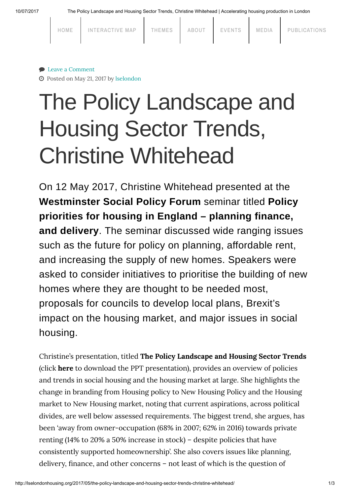$\mathbf{I}$ 

 $\mathbf{L}$ 

 $\mathbf{I}$ 

|  | HOME | INTERACTIVE MAP | THEMES | ABOUT | EVENTS | MEDIA | PUBLICATIONS |
|--|------|-----------------|--------|-------|--------|-------|--------------|
|  |      |                 |        |       |        |       |              |

 $\blacksquare$ 

 $\blacksquare$ 

### ● Leave a [Comment](#page-1-0)

Posted on May 21, 2017 by [lselondon](http://lselondonhousing.org/author/lselondon/)

# The Policy Landscape and Housing Sector Trends, Christine Whitehead

On 12 May 2017, Christine Whitehead presented at the [Westminster](http://www.westminsterforumprojects.co.uk/) Social Policy Forum seminar titled Policy priorities for housing in England – planning finance, and delivery. The seminar discussed wide ranging issues such as the future for policy on planning, affordable rent, and increasing the supply of new homes. Speakers were asked to consider initiatives to prioritise the building of new homes where they are thought to be needed most, proposals for councils to develop local plans, Brexit's impact on the housing market, and major issues in social housing.

Christine's presentation, titled The Policy [Landscape](http://lselondonhousing.org/wp-content/uploads/2017/05/westmisterThe-Policy-Landscape-and-Housing-Sector-Trends.pptx) and Housing Sector Trends (click [here](http://lselondonhousing.org/wp-content/uploads/2017/05/westmisterThe-Policy-Landscape-and-Housing-Sector-Trends.pptx) to download the PPT presentation), provides an overview of policies and trends in social housing and the housing market at large. She highlights the change in branding from Housing policy to New Housing Policy and the Housing market to New Housing market, noting that current aspirations, across political divides, are well below assessed requirements. The biggest trend, she argues, has been 'away from owner-occupation (68% in 2007; 62% in 2016) towards private renting (14% to 20% a 50% increase in stock) – despite policies that have consistently supported homeownership'. She also covers issues like planning, delivery, finance, and other concerns – not least of which is the question of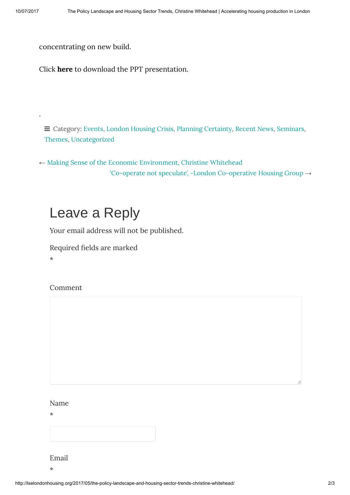.

concentrating on new build.

Click [here](http://lselondonhousing.org/wp-content/uploads/2017/05/westmisterThe-Policy-Landscape-and-Housing-Sector-Trends.pptx) to download the PPT presentation.

 $\equiv$  Category: [Events](http://lselondonhousing.org/category/events/), London [Housing](http://lselondonhousing.org/category/themes/london-housing-crisis/) Crisis, Planning [Certainty](http://lselondonhousing.org/category/themes/planning-certainty/), [Recent](http://lselondonhousing.org/category/recent-news/) News, [Seminars](http://lselondonhousing.org/category/events/seminars/), [Themes](http://lselondonhousing.org/category/themes/), [Uncategorized](http://lselondonhousing.org/category/uncategorized/)

← Making Sense of the Economic [Environment,](http://lselondonhousing.org/2017/05/making-sense-of-the-economic-environment-christine-whitehead/) Christine Whitehead 'Co-operate not speculate', -London [Co-operative](http://lselondonhousing.org/2017/05/co-operate-not-speculate-london-co-operative-housing-group/) Housing Group →

## <span id="page-1-0"></span>Leave a Reply

Your email address will not be published.

Required fields are marked

\*

Comment

### Name

\*

Email \*